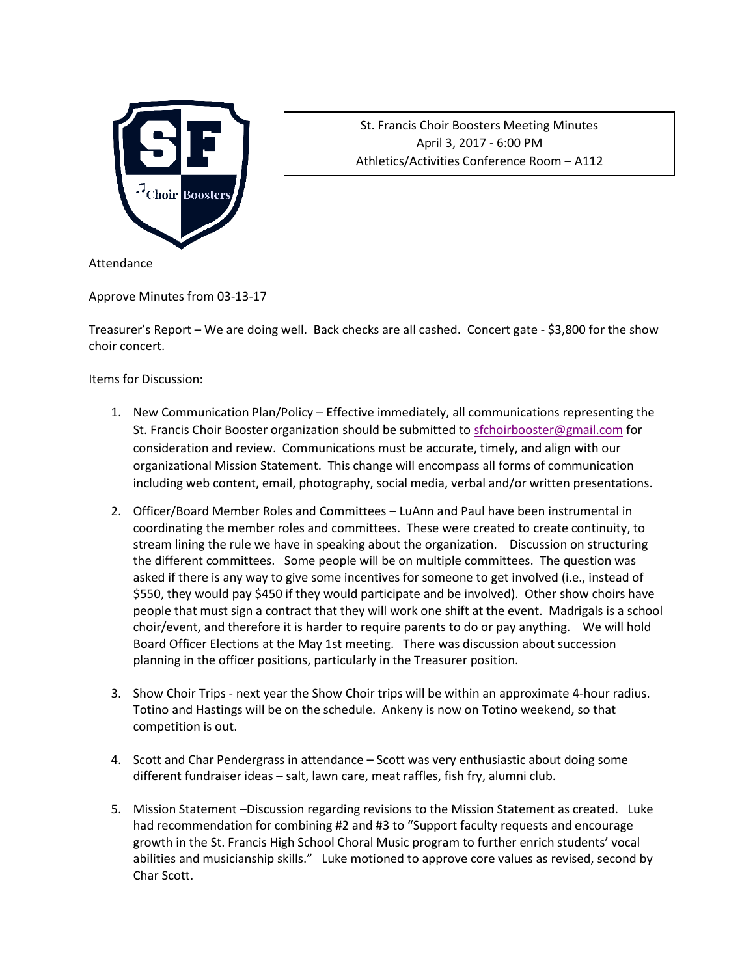

St. Francis Choir Boosters Meeting Minutes April 3, 2017 - 6:00 PM Athletics/Activities Conference Room – A112

Attendance

Approve Minutes from 03-13-17

Treasurer's Report – We are doing well. Back checks are all cashed. Concert gate - \$3,800 for the show choir concert.

Items for Discussion:

- 1. New Communication Plan/Policy Effective immediately, all communications representing the St. Francis Choir Booster organization should be submitted to [sfchoirbooster@gmail.com](mailto:sfchoirbooster@gmail.com) for consideration and review. Communications must be accurate, timely, and align with our organizational Mission Statement. This change will encompass all forms of communication including web content, email, photography, social media, verbal and/or written presentations.
- 2. Officer/Board Member Roles and Committees LuAnn and Paul have been instrumental in coordinating the member roles and committees. These were created to create continuity, to stream lining the rule we have in speaking about the organization. Discussion on structuring the different committees. Some people will be on multiple committees. The question was asked if there is any way to give some incentives for someone to get involved (i.e., instead of \$550, they would pay \$450 if they would participate and be involved). Other show choirs have people that must sign a contract that they will work one shift at the event. Madrigals is a school choir/event, and therefore it is harder to require parents to do or pay anything. We will hold Board Officer Elections at the May 1st meeting. There was discussion about succession planning in the officer positions, particularly in the Treasurer position.
- 3. Show Choir Trips next year the Show Choir trips will be within an approximate 4-hour radius. Totino and Hastings will be on the schedule. Ankeny is now on Totino weekend, so that competition is out.
- 4. Scott and Char Pendergrass in attendance Scott was very enthusiastic about doing some different fundraiser ideas – salt, lawn care, meat raffles, fish fry, alumni club.
- 5. Mission Statement –Discussion regarding revisions to the Mission Statement as created. Luke had recommendation for combining #2 and #3 to "Support faculty requests and encourage growth in the St. Francis High School Choral Music program to further enrich students' vocal abilities and musicianship skills." Luke motioned to approve core values as revised, second by Char Scott.